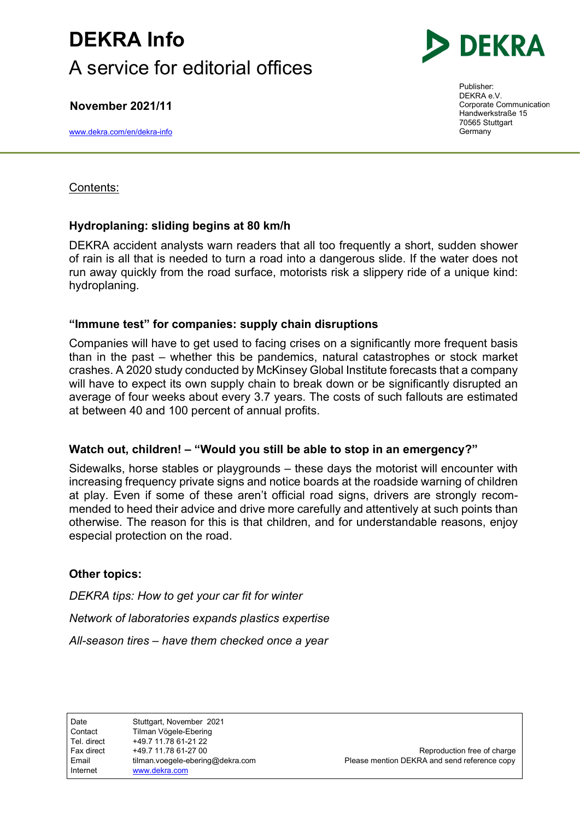## DEKRA Info A service for editorial offices

November 2021/11

www.dekra.com/en/dekra-info



Publisher: DEKRA e.V. Corporate Communication Handwerkstraße 15 70565 Stuttgart Germany

### Contents:

## Hydroplaning: sliding begins at 80 km/h

DEKRA accident analysts warn readers that all too frequently a short, sudden shower of rain is all that is needed to turn a road into a dangerous slide. If the water does not run away quickly from the road surface, motorists risk a slippery ride of a unique kind: hydroplaning.

### "Immune test" for companies: supply chain disruptions

Companies will have to get used to facing crises on a significantly more frequent basis than in the past – whether this be pandemics, natural catastrophes or stock market crashes. A 2020 study conducted by McKinsey Global Institute forecasts that a company will have to expect its own supply chain to break down or be significantly disrupted an average of four weeks about every 3.7 years. The costs of such fallouts are estimated at between 40 and 100 percent of annual profits.

### Watch out, children! – "Would you still be able to stop in an emergency?"

Sidewalks, horse stables or playgrounds – these days the motorist will encounter with increasing frequency private signs and notice boards at the roadside warning of children at play. Even if some of these aren't official road signs, drivers are strongly recommended to heed their advice and drive more carefully and attentively at such points than otherwise. The reason for this is that children, and for understandable reasons, enjoy especial protection on the road.

## Other topics:

DEKRA tips: How to get your car fit for winter Network of laboratories expands plastics expertise All-season tires – have them checked once a year

Fax direct  $+49.7 11.78 61-27 00$  Reproduction free of charge Email ilman.voegele-ebering@dekra.com Please mention DEKRA and send reference copy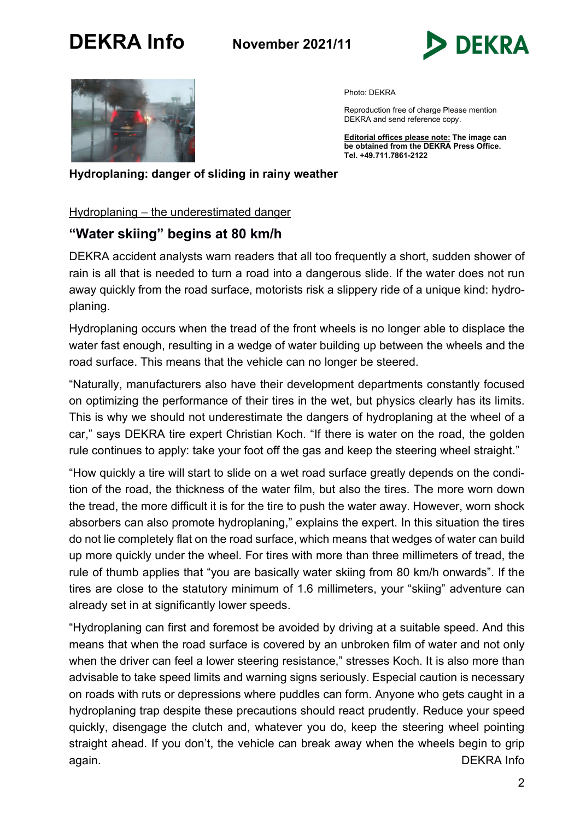



Photo: DEKRA

Reproduction free of charge Please mention DEKRA and send reference copy.

Editorial offices please note: The image can **be obtained from the DEKRA Press Office.** Tel. +49.711.7861-2122

Hydroplaning: danger of sliding in rainy weather

Hydroplaning – the underestimated danger

## "Water skiing" begins at 80 km/h

DEKRA accident analysts warn readers that all too frequently a short, sudden shower of rain is all that is needed to turn a road into a dangerous slide. If the water does not run away quickly from the road surface, motorists risk a slippery ride of a unique kind: hydroplaning.

Hydroplaning occurs when the tread of the front wheels is no longer able to displace the water fast enough, resulting in a wedge of water building up between the wheels and the road surface. This means that the vehicle can no longer be steered.

"Naturally, manufacturers also have their development departments constantly focused on optimizing the performance of their tires in the wet, but physics clearly has its limits. This is why we should not underestimate the dangers of hydroplaning at the wheel of a car," says DEKRA tire expert Christian Koch. "If there is water on the road, the golden rule continues to apply: take your foot off the gas and keep the steering wheel straight."

"How quickly a tire will start to slide on a wet road surface greatly depends on the condition of the road, the thickness of the water film, but also the tires. The more worn down the tread, the more difficult it is for the tire to push the water away. However, worn shock absorbers can also promote hydroplaning," explains the expert. In this situation the tires do not lie completely flat on the road surface, which means that wedges of water can build up more quickly under the wheel. For tires with more than three millimeters of tread, the rule of thumb applies that "you are basically water skiing from 80 km/h onwards". If the tires are close to the statutory minimum of 1.6 millimeters, your "skiing" adventure can already set in at significantly lower speeds.

"Hydroplaning can first and foremost be avoided by driving at a suitable speed. And this means that when the road surface is covered by an unbroken film of water and not only when the driver can feel a lower steering resistance," stresses Koch. It is also more than advisable to take speed limits and warning signs seriously. Especial caution is necessary on roads with ruts or depressions where puddles can form. Anyone who gets caught in a hydroplaning trap despite these precautions should react prudently. Reduce your speed quickly, disengage the clutch and, whatever you do, keep the steering wheel pointing straight ahead. If you don't, the vehicle can break away when the wheels begin to grip again. DEKRA Info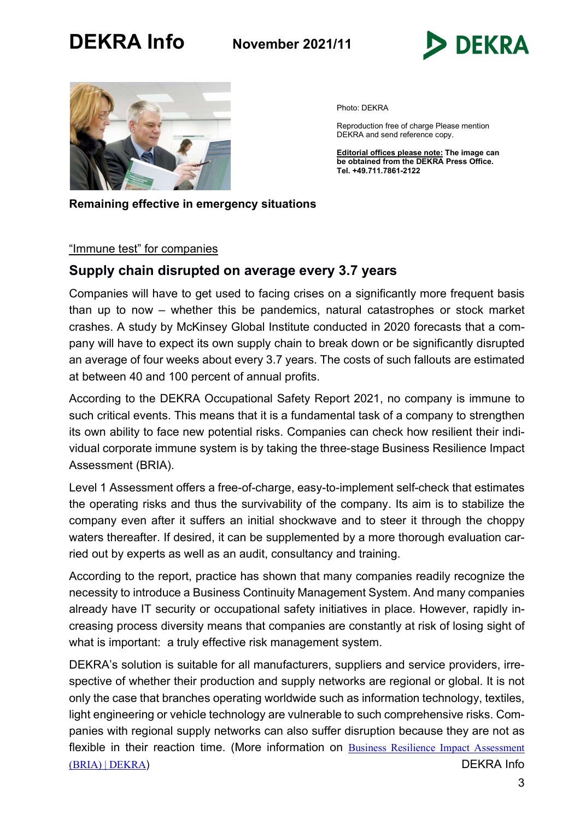



Photo: DEKRA

Reproduction free of charge Please mention DEKRA and send reference copy.

Editorial offices please note: The image can be obtained from the DEKRA Press Office. Tel. +49.711.7861-2122

Remaining effective in emergency situations

#### "Immune test" for companies

### Supply chain disrupted on average every 3.7 years

Companies will have to get used to facing crises on a significantly more frequent basis than up to now – whether this be pandemics, natural catastrophes or stock market crashes. A study by McKinsey Global Institute conducted in 2020 forecasts that a company will have to expect its own supply chain to break down or be significantly disrupted an average of four weeks about every 3.7 years. The costs of such fallouts are estimated at between 40 and 100 percent of annual profits.

According to the DEKRA Occupational Safety Report 2021, no company is immune to such critical events. This means that it is a fundamental task of a company to strengthen its own ability to face new potential risks. Companies can check how resilient their individual corporate immune system is by taking the three-stage Business Resilience Impact Assessment (BRIA).

Level 1 Assessment offers a free-of-charge, easy-to-implement self-check that estimates the operating risks and thus the survivability of the company. Its aim is to stabilize the company even after it suffers an initial shockwave and to steer it through the choppy waters thereafter. If desired, it can be supplemented by a more thorough evaluation carried out by experts as well as an audit, consultancy and training.

According to the report, practice has shown that many companies readily recognize the necessity to introduce a Business Continuity Management System. And many companies already have IT security or occupational safety initiatives in place. However, rapidly increasing process diversity means that companies are constantly at risk of losing sight of what is important: a truly effective risk management system.

DEKRA's solution is suitable for all manufacturers, suppliers and service providers, irrespective of whether their production and supply networks are regional or global. It is not only the case that branches operating worldwide such as information technology, textiles, light engineering or vehicle technology are vulnerable to such comprehensive risks. Companies with regional supply networks can also suffer disruption because they are not as flexible in their reaction time. (More information on Business Resilience Impact Assessment (BRIA) | DEKRA) DEKRA Info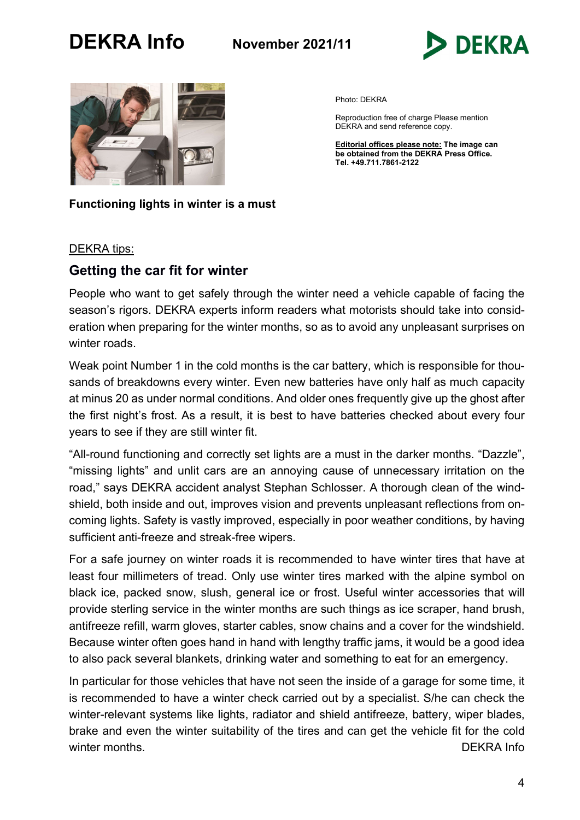



Photo: DEKRA

Reproduction free of charge Please mention DEKRA and send reference copy.

Editorial offices please note: The image can be obtained from the DEKRA Press Office. Tel. +49.711.7861-2122

#### Functioning lights in winter is a must

#### DEKRA tips:

### Getting the car fit for winter

People who want to get safely through the winter need a vehicle capable of facing the season's rigors. DEKRA experts inform readers what motorists should take into consideration when preparing for the winter months, so as to avoid any unpleasant surprises on winter roads.

Weak point Number 1 in the cold months is the car battery, which is responsible for thousands of breakdowns every winter. Even new batteries have only half as much capacity at minus 20 as under normal conditions. And older ones frequently give up the ghost after the first night's frost. As a result, it is best to have batteries checked about every four years to see if they are still winter fit.

"All-round functioning and correctly set lights are a must in the darker months. "Dazzle", "missing lights" and unlit cars are an annoying cause of unnecessary irritation on the road," says DEKRA accident analyst Stephan Schlosser. A thorough clean of the windshield, both inside and out, improves vision and prevents unpleasant reflections from oncoming lights. Safety is vastly improved, especially in poor weather conditions, by having sufficient anti-freeze and streak-free wipers.

For a safe journey on winter roads it is recommended to have winter tires that have at least four millimeters of tread. Only use winter tires marked with the alpine symbol on black ice, packed snow, slush, general ice or frost. Useful winter accessories that will provide sterling service in the winter months are such things as ice scraper, hand brush, antifreeze refill, warm gloves, starter cables, snow chains and a cover for the windshield. Because winter often goes hand in hand with lengthy traffic jams, it would be a good idea to also pack several blankets, drinking water and something to eat for an emergency.

In particular for those vehicles that have not seen the inside of a garage for some time, it is recommended to have a winter check carried out by a specialist. S/he can check the winter-relevant systems like lights, radiator and shield antifreeze, battery, wiper blades, brake and even the winter suitability of the tires and can get the vehicle fit for the cold winter months. The contract of the contract of the contract of the contract of the DEKRA Info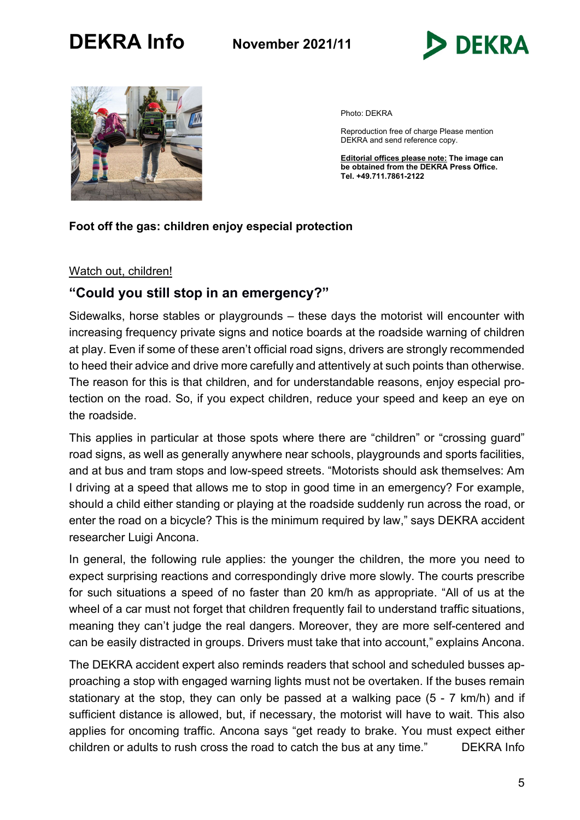



Photo: DEKRA

Reproduction free of charge Please mention DEKRA and send reference copy.

Editorial offices please note: The image can be obtained from the DEKRA Press Office. Tel. +49.711.7861-2122

#### Foot off the gas: children enjoy especial protection

#### Watch out, children!

## "Could you still stop in an emergency?"

Sidewalks, horse stables or playgrounds – these days the motorist will encounter with increasing frequency private signs and notice boards at the roadside warning of children at play. Even if some of these aren't official road signs, drivers are strongly recommended to heed their advice and drive more carefully and attentively at such points than otherwise. The reason for this is that children, and for understandable reasons, enjoy especial protection on the road. So, if you expect children, reduce your speed and keep an eye on the roadside.

This applies in particular at those spots where there are "children" or "crossing guard" road signs, as well as generally anywhere near schools, playgrounds and sports facilities, and at bus and tram stops and low-speed streets. "Motorists should ask themselves: Am I driving at a speed that allows me to stop in good time in an emergency? For example, should a child either standing or playing at the roadside suddenly run across the road, or enter the road on a bicycle? This is the minimum required by law," says DEKRA accident researcher Luigi Ancona.

In general, the following rule applies: the younger the children, the more you need to expect surprising reactions and correspondingly drive more slowly. The courts prescribe for such situations a speed of no faster than 20 km/h as appropriate. "All of us at the wheel of a car must not forget that children frequently fail to understand traffic situations, meaning they can't judge the real dangers. Moreover, they are more self-centered and can be easily distracted in groups. Drivers must take that into account," explains Ancona.

The DEKRA accident expert also reminds readers that school and scheduled busses approaching a stop with engaged warning lights must not be overtaken. If the buses remain stationary at the stop, they can only be passed at a walking pace (5 - 7 km/h) and if sufficient distance is allowed, but, if necessary, the motorist will have to wait. This also applies for oncoming traffic. Ancona says "get ready to brake. You must expect either children or adults to rush cross the road to catch the bus at any time." DEKRA Info